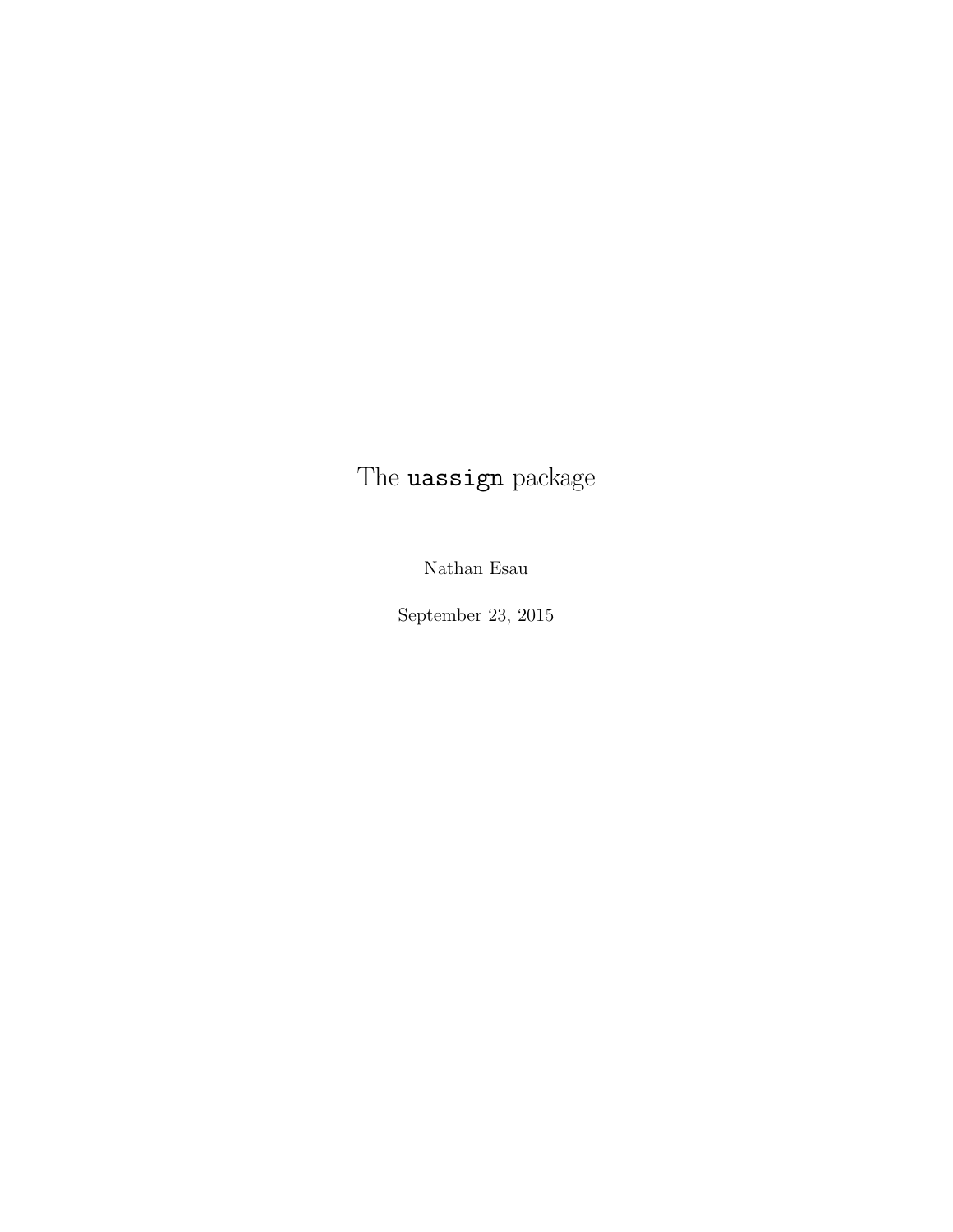# The **uassign** package

Nathan Esau

September 23, 2015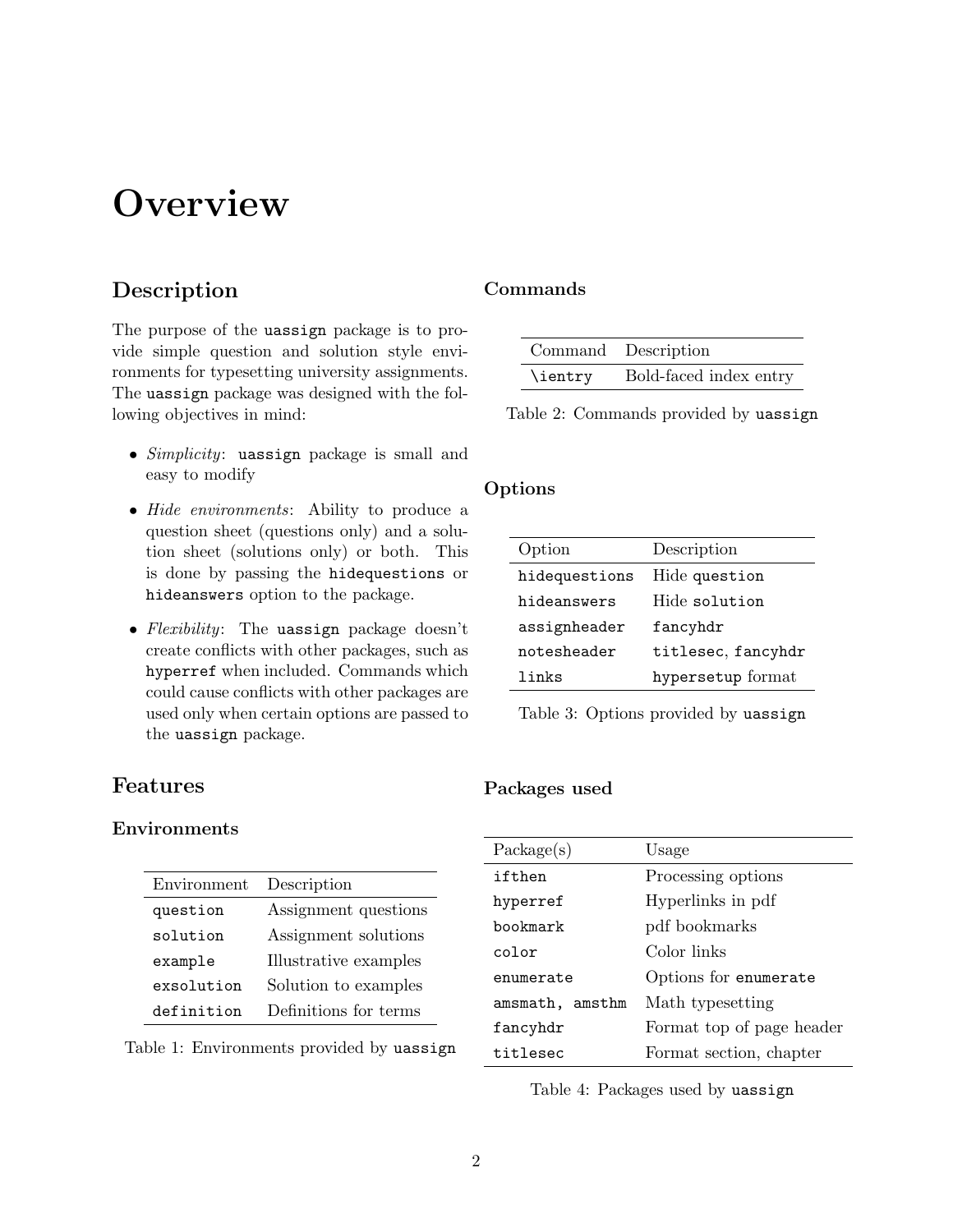# **Overview**

## Description

The purpose of the uassign package is to provide simple question and solution style environments for typesetting university assignments. The uassign package was designed with the following objectives in mind:

- Simplicity: uassign package is small and easy to modify
- Hide environments: Ability to produce a question sheet (questions only) and a solution sheet (solutions only) or both. This is done by passing the hidequestions or hideanswers option to the package.
- Flexibility: The uassign package doesn't create conflicts with other packages, such as hyperref when included. Commands which could cause conflicts with other packages are used only when certain options are passed to the uassign package.

## Features

## Environments

| Environment | Description           |
|-------------|-----------------------|
| question    | Assignment questions  |
| solution    | Assignment solutions  |
| example     | Illustrative examples |
| exsolution  | Solution to examples  |
| definition  | Definitions for terms |

Table 1: Environments provided by uassign

## Commands

|         | Command Description    |
|---------|------------------------|
| \ientry | Bold-faced index entry |

Table 2: Commands provided by uassign

## Options

| Option        | Description        |
|---------------|--------------------|
| hidequestions | Hide question      |
| hideanswers   | Hide solution      |
| assignheader  | fancyhdr           |
| notesheader   | titlesec, fancyhdr |
| links         | hypersetup format  |

Table 3: Options provided by uassign

#### Packages used

| Package(s)      | Usage                     |
|-----------------|---------------------------|
| ifthen          | Processing options        |
| hyperref        | Hyperlinks in pdf         |
| bookmark        | pdf bookmarks             |
| color           | Color links               |
| enumerate       | Options for enumerate     |
| amsmath, amsthm | Math typesetting          |
| fancyhdr        | Format top of page header |
| titlesec        | Format section, chapter   |

Table 4: Packages used by uassign